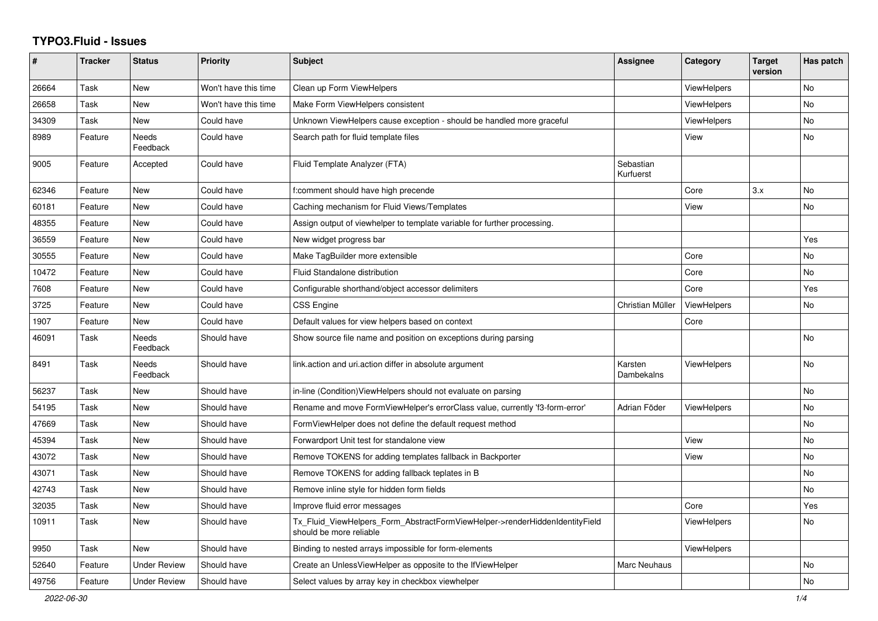## **TYPO3.Fluid - Issues**

| #     | <b>Tracker</b> | <b>Status</b>            | <b>Priority</b>      | <b>Subject</b>                                                                                         | Assignee               | Category           | <b>Target</b><br>version | Has patch |
|-------|----------------|--------------------------|----------------------|--------------------------------------------------------------------------------------------------------|------------------------|--------------------|--------------------------|-----------|
| 26664 | Task           | New                      | Won't have this time | Clean up Form ViewHelpers                                                                              |                        | <b>ViewHelpers</b> |                          | No        |
| 26658 | Task           | New                      | Won't have this time | Make Form ViewHelpers consistent                                                                       |                        | ViewHelpers        |                          | <b>No</b> |
| 34309 | Task           | New                      | Could have           | Unknown ViewHelpers cause exception - should be handled more graceful                                  |                        | <b>ViewHelpers</b> |                          | No        |
| 8989  | Feature        | Needs<br>Feedback        | Could have           | Search path for fluid template files                                                                   |                        | View               |                          | <b>No</b> |
| 9005  | Feature        | Accepted                 | Could have           | Fluid Template Analyzer (FTA)                                                                          | Sebastian<br>Kurfuerst |                    |                          |           |
| 62346 | Feature        | New                      | Could have           | f:comment should have high precende                                                                    |                        | Core               | 3.x                      | <b>No</b> |
| 60181 | Feature        | New                      | Could have           | Caching mechanism for Fluid Views/Templates                                                            |                        | View               |                          | No        |
| 48355 | Feature        | <b>New</b>               | Could have           | Assign output of viewhelper to template variable for further processing.                               |                        |                    |                          |           |
| 36559 | Feature        | <b>New</b>               | Could have           | New widget progress bar                                                                                |                        |                    |                          | Yes       |
| 30555 | Feature        | New                      | Could have           | Make TagBuilder more extensible                                                                        |                        | Core               |                          | <b>No</b> |
| 10472 | Feature        | New                      | Could have           | Fluid Standalone distribution                                                                          |                        | Core               |                          | No        |
| 7608  | Feature        | New                      | Could have           | Configurable shorthand/object accessor delimiters                                                      |                        | Core               |                          | Yes       |
| 3725  | Feature        | New                      | Could have           | <b>CSS Engine</b>                                                                                      | Christian Müller       | <b>ViewHelpers</b> |                          | No        |
| 1907  | Feature        | <b>New</b>               | Could have           | Default values for view helpers based on context                                                       |                        | Core               |                          |           |
| 46091 | Task           | <b>Needs</b><br>Feedback | Should have          | Show source file name and position on exceptions during parsing                                        |                        |                    |                          | No        |
| 8491  | Task           | Needs<br>Feedback        | Should have          | link.action and uri.action differ in absolute argument                                                 | Karsten<br>Dambekalns  | <b>ViewHelpers</b> |                          | <b>No</b> |
| 56237 | Task           | New                      | Should have          | in-line (Condition)ViewHelpers should not evaluate on parsing                                          |                        |                    |                          | <b>No</b> |
| 54195 | Task           | <b>New</b>               | Should have          | Rename and move FormViewHelper's errorClass value, currently 'f3-form-error'                           | Adrian Föder           | <b>ViewHelpers</b> |                          | No        |
| 47669 | Task           | New                      | Should have          | FormViewHelper does not define the default request method                                              |                        |                    |                          | <b>No</b> |
| 45394 | Task           | New                      | Should have          | Forwardport Unit test for standalone view                                                              |                        | View               |                          | <b>No</b> |
| 43072 | Task           | New                      | Should have          | Remove TOKENS for adding templates fallback in Backporter                                              |                        | View               |                          | No        |
| 43071 | Task           | New                      | Should have          | Remove TOKENS for adding fallback teplates in B                                                        |                        |                    |                          | No        |
| 42743 | Task           | New                      | Should have          | Remove inline style for hidden form fields                                                             |                        |                    |                          | No        |
| 32035 | Task           | <b>New</b>               | Should have          | Improve fluid error messages                                                                           |                        | Core               |                          | Yes       |
| 10911 | Task           | New                      | Should have          | Tx_Fluid_ViewHelpers_Form_AbstractFormViewHelper->renderHiddenIdentityField<br>should be more reliable |                        | ViewHelpers        |                          | No        |
| 9950  | Task           | New                      | Should have          | Binding to nested arrays impossible for form-elements                                                  |                        | <b>ViewHelpers</b> |                          |           |
| 52640 | Feature        | <b>Under Review</b>      | Should have          | Create an UnlessViewHelper as opposite to the IfViewHelper                                             | <b>Marc Neuhaus</b>    |                    |                          | <b>No</b> |
| 49756 | Feature        | <b>Under Review</b>      | Should have          | Select values by array key in checkbox viewhelper                                                      |                        |                    |                          | No        |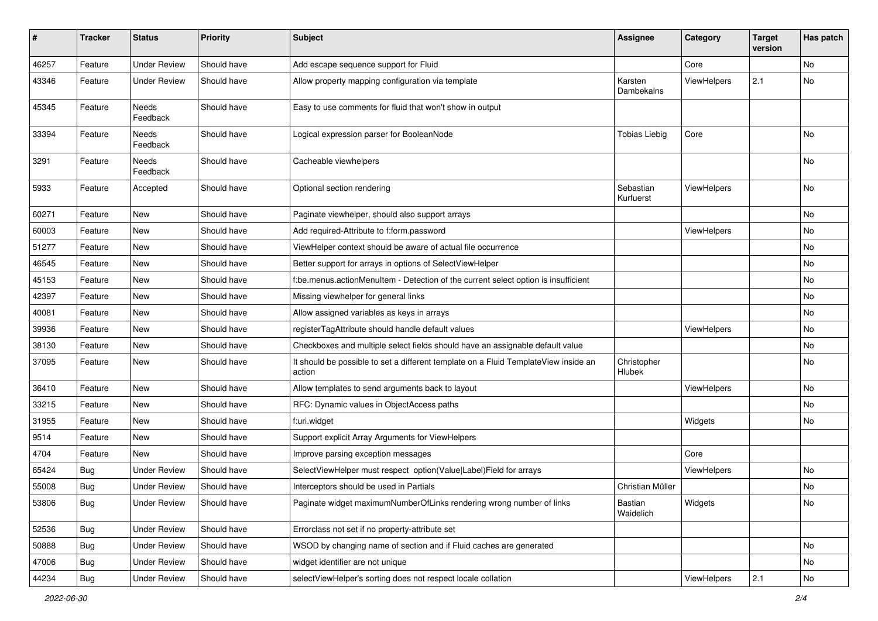| $\sharp$ | <b>Tracker</b> | <b>Status</b>            | <b>Priority</b> | Subject                                                                                       | <b>Assignee</b>        | Category    | <b>Target</b><br>version | Has patch |
|----------|----------------|--------------------------|-----------------|-----------------------------------------------------------------------------------------------|------------------------|-------------|--------------------------|-----------|
| 46257    | Feature        | <b>Under Review</b>      | Should have     | Add escape sequence support for Fluid                                                         |                        | Core        |                          | <b>No</b> |
| 43346    | Feature        | <b>Under Review</b>      | Should have     | Allow property mapping configuration via template                                             | Karsten<br>Dambekalns  | ViewHelpers | 2.1                      | No        |
| 45345    | Feature        | <b>Needs</b><br>Feedback | Should have     | Easy to use comments for fluid that won't show in output                                      |                        |             |                          |           |
| 33394    | Feature        | <b>Needs</b><br>Feedback | Should have     | Logical expression parser for BooleanNode                                                     | <b>Tobias Liebig</b>   | Core        |                          | <b>No</b> |
| 3291     | Feature        | Needs<br>Feedback        | Should have     | Cacheable viewhelpers                                                                         |                        |             |                          | <b>No</b> |
| 5933     | Feature        | Accepted                 | Should have     | Optional section rendering                                                                    | Sebastian<br>Kurfuerst | ViewHelpers |                          | <b>No</b> |
| 60271    | Feature        | New                      | Should have     | Paginate viewhelper, should also support arrays                                               |                        |             |                          | No        |
| 60003    | Feature        | New                      | Should have     | Add required-Attribute to f:form.password                                                     |                        | ViewHelpers |                          | No        |
| 51277    | Feature        | New                      | Should have     | ViewHelper context should be aware of actual file occurrence                                  |                        |             |                          | No        |
| 46545    | Feature        | New                      | Should have     | Better support for arrays in options of SelectViewHelper                                      |                        |             |                          | No        |
| 45153    | Feature        | New                      | Should have     | f:be.menus.actionMenuItem - Detection of the current select option is insufficient            |                        |             |                          | No        |
| 42397    | Feature        | New                      | Should have     | Missing viewhelper for general links                                                          |                        |             |                          | No        |
| 40081    | Feature        | New                      | Should have     | Allow assigned variables as keys in arrays                                                    |                        |             |                          | No        |
| 39936    | Feature        | New                      | Should have     | registerTagAttribute should handle default values                                             |                        | ViewHelpers |                          | No        |
| 38130    | Feature        | New                      | Should have     | Checkboxes and multiple select fields should have an assignable default value                 |                        |             |                          | No        |
| 37095    | Feature        | New                      | Should have     | It should be possible to set a different template on a Fluid TemplateView inside an<br>action | Christopher<br>Hlubek  |             |                          | No        |
| 36410    | Feature        | New                      | Should have     | Allow templates to send arguments back to layout                                              |                        | ViewHelpers |                          | No        |
| 33215    | Feature        | New                      | Should have     | RFC: Dynamic values in ObjectAccess paths                                                     |                        |             |                          | No        |
| 31955    | Feature        | New                      | Should have     | f:uri.widget                                                                                  |                        | Widgets     |                          | No        |
| 9514     | Feature        | New                      | Should have     | Support explicit Array Arguments for ViewHelpers                                              |                        |             |                          |           |
| 4704     | Feature        | New                      | Should have     | Improve parsing exception messages                                                            |                        | Core        |                          |           |
| 65424    | Bug            | <b>Under Review</b>      | Should have     | SelectViewHelper must respect option(Value Label)Field for arrays                             |                        | ViewHelpers |                          | No        |
| 55008    | Bug            | Under Review             | Should have     | Interceptors should be used in Partials                                                       | Christian Müller       |             |                          | No        |
| 53806    | <b>Bug</b>     | <b>Under Review</b>      | Should have     | Paginate widget maximumNumberOfLinks rendering wrong number of links                          | Bastian<br>Waidelich   | Widgets     |                          | No        |
| 52536    | <b>Bug</b>     | <b>Under Review</b>      | Should have     | Errorclass not set if no property-attribute set                                               |                        |             |                          |           |
| 50888    | <b>Bug</b>     | <b>Under Review</b>      | Should have     | WSOD by changing name of section and if Fluid caches are generated                            |                        |             |                          | No        |
| 47006    | <b>Bug</b>     | <b>Under Review</b>      | Should have     | widget identifier are not unique                                                              |                        |             |                          | No        |
| 44234    | <b>Bug</b>     | <b>Under Review</b>      | Should have     | selectViewHelper's sorting does not respect locale collation                                  |                        | ViewHelpers | 2.1                      | No        |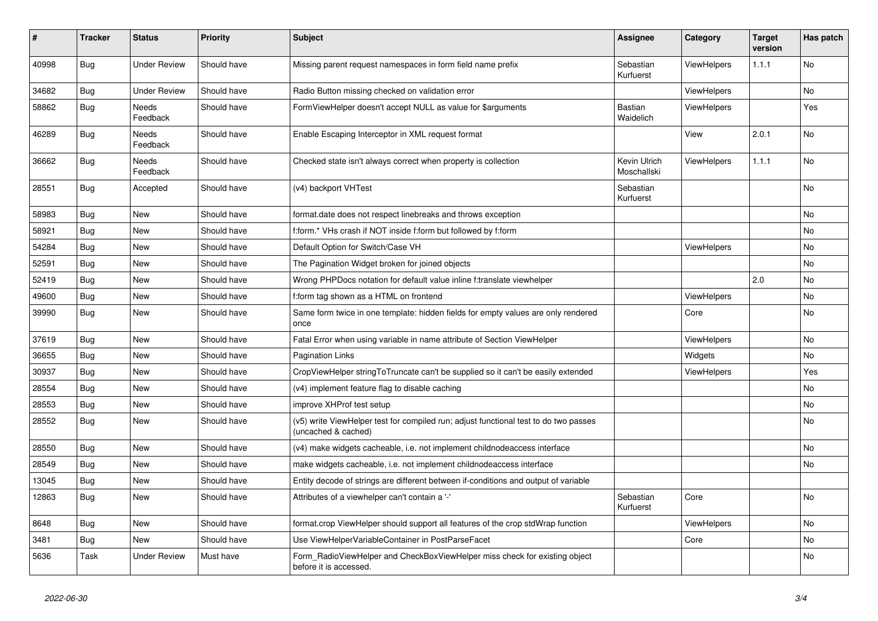| #     | <b>Tracker</b> | <b>Status</b>       | <b>Priority</b> | <b>Subject</b>                                                                                              | Assignee                    | Category           | <b>Target</b><br>version | Has patch      |
|-------|----------------|---------------------|-----------------|-------------------------------------------------------------------------------------------------------------|-----------------------------|--------------------|--------------------------|----------------|
| 40998 | <b>Bug</b>     | <b>Under Review</b> | Should have     | Missing parent request namespaces in form field name prefix                                                 | Sebastian<br>Kurfuerst      | ViewHelpers        | 1.1.1                    | <b>No</b>      |
| 34682 | Bug            | <b>Under Review</b> | Should have     | Radio Button missing checked on validation error                                                            |                             | <b>ViewHelpers</b> |                          | No             |
| 58862 | <b>Bug</b>     | Needs<br>Feedback   | Should have     | FormViewHelper doesn't accept NULL as value for \$arguments                                                 | <b>Bastian</b><br>Waidelich | <b>ViewHelpers</b> |                          | Yes            |
| 46289 | Bug            | Needs<br>Feedback   | Should have     | Enable Escaping Interceptor in XML request format                                                           |                             | View               | 2.0.1                    | No             |
| 36662 | Bug            | Needs<br>Feedback   | Should have     | Checked state isn't always correct when property is collection                                              | Kevin Ulrich<br>Moschallski | <b>ViewHelpers</b> | 1.1.1                    | No             |
| 28551 | Bug            | Accepted            | Should have     | (v4) backport VHTest                                                                                        | Sebastian<br>Kurfuerst      |                    |                          | No             |
| 58983 | Bug            | New                 | Should have     | format.date does not respect linebreaks and throws exception                                                |                             |                    |                          | No             |
| 58921 | Bug            | New                 | Should have     | f:form.* VHs crash if NOT inside f:form but followed by f:form                                              |                             |                    |                          | No             |
| 54284 | Bug            | New                 | Should have     | Default Option for Switch/Case VH                                                                           |                             | <b>ViewHelpers</b> |                          | No             |
| 52591 | Bug            | New                 | Should have     | The Pagination Widget broken for joined objects                                                             |                             |                    |                          | No             |
| 52419 | Bug            | New                 | Should have     | Wrong PHPDocs notation for default value inline f:translate viewhelper                                      |                             |                    | 2.0                      | No             |
| 49600 | Bug            | New                 | Should have     | f:form tag shown as a HTML on frontend                                                                      |                             | <b>ViewHelpers</b> |                          | No             |
| 39990 | <b>Bug</b>     | New                 | Should have     | Same form twice in one template: hidden fields for empty values are only rendered<br>once                   |                             | Core               |                          | No             |
| 37619 | Bug            | New                 | Should have     | Fatal Error when using variable in name attribute of Section ViewHelper                                     |                             | ViewHelpers        |                          | No             |
| 36655 | <b>Bug</b>     | <b>New</b>          | Should have     | <b>Pagination Links</b>                                                                                     |                             | Widgets            |                          | No             |
| 30937 | <b>Bug</b>     | <b>New</b>          | Should have     | CropViewHelper stringToTruncate can't be supplied so it can't be easily extended                            |                             | ViewHelpers        |                          | Yes            |
| 28554 | Bug            | <b>New</b>          | Should have     | (v4) implement feature flag to disable caching                                                              |                             |                    |                          | No.            |
| 28553 | Bug            | <b>New</b>          | Should have     | improve XHProf test setup                                                                                   |                             |                    |                          | N <sub>o</sub> |
| 28552 | Bug            | <b>New</b>          | Should have     | (v5) write ViewHelper test for compiled run; adjust functional test to do two passes<br>(uncached & cached) |                             |                    |                          | No             |
| 28550 | Bug            | New                 | Should have     | (v4) make widgets cacheable, i.e. not implement childnodeaccess interface                                   |                             |                    |                          | No             |
| 28549 | Bug            | New                 | Should have     | make widgets cacheable, i.e. not implement childnodeaccess interface                                        |                             |                    |                          | No             |
| 13045 | Bug            | New                 | Should have     | Entity decode of strings are different between if-conditions and output of variable                         |                             |                    |                          |                |
| 12863 | Bug            | New                 | Should have     | Attributes of a viewhelper can't contain a '-'                                                              | Sebastian<br>Kurfuerst      | Core               |                          | No             |
| 8648  | <b>Bug</b>     | <b>New</b>          | Should have     | format.crop ViewHelper should support all features of the crop stdWrap function                             |                             | ViewHelpers        |                          | No             |
| 3481  | Bug            | New                 | Should have     | Use ViewHelperVariableContainer in PostParseFacet                                                           |                             | Core               |                          | No             |
| 5636  | Task           | <b>Under Review</b> | Must have       | Form RadioViewHelper and CheckBoxViewHelper miss check for existing object<br>before it is accessed.        |                             |                    |                          | No             |